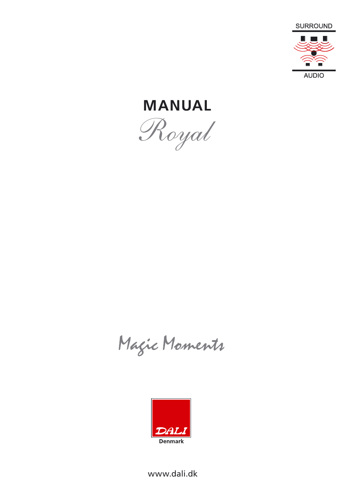

**MANUAL** *Royal*

Magic Moments



www.dali.dk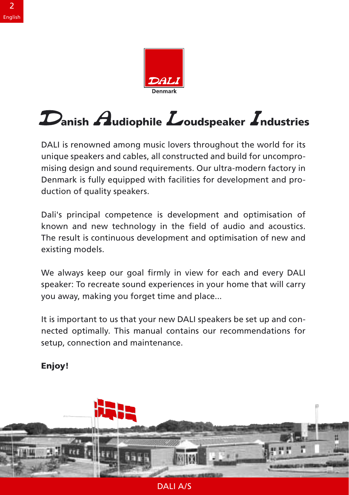

### $\boldsymbol{\mathcal{D}}$ anish  $\boldsymbol{\mathcal{A}}$ udiophile  $\boldsymbol{\mathcal{L}}$ oudspeaker  $\boldsymbol{\mathcal{I}}$ ndustries  $\mathbf{u}$ unique speakers and cables, all constructed and build for uncompro-Denmark is fully equipped with facilities for development and pro-

DALI is renowned among music lovers throughout the world for its unique speakers and cables, all constructed and build for uncompromising design and sound requirements. Our ultra-modern factory in<br>Denmark is fully equipped with facilities for development and pro-<br>duction of quality speakers. Denmark is fully equipped with facilities for development and pro-The result is continuous development and optimisation of new and optimisation of  $\alpha$ existing models.

Dali's principal competence is development and optimisation of known and new technology in the field of audio and acoustics. The result is continuous development and optimisation of new and  $y^2$  existing models.

We always keep our goal firmly in view for each and every DALI speaker: To recreate sound experiences in your home that will carry .<br>you away, making you forget time and place...

It is important to us that your new DALI speakers be set up and connected optimally. This manual contains our recommendations for setup, connection and maintenance.

## Enjoy!



**DAILA/S**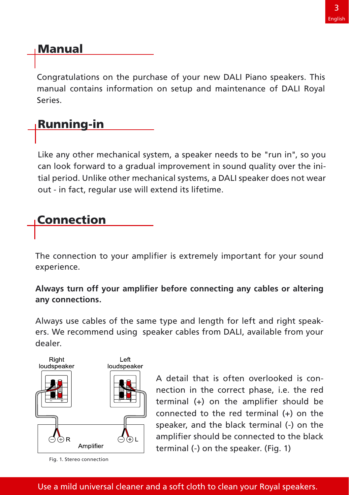# <u>Manual</u>

Congratulations on the purchase of your new DALI Piano speakers. This manual contains information on setup and maintenance of DALI Royal  $\mathcal{L}$ 

Congratulations on the purchase of your new DALI Piano speakers. This

#### tial period. Unlike other mechanical systems, a DALI speaker of wearen wearen wearen wearen wearen wearen wear can look forward to a gradual improvement in sound quality over the ini-

Like any other mechanical system, a speaker needs to be "run in", so you can look forward to a gradual improvement in sound quality over the initial period. Unlike other mechanical systems, a DALI speaker does not wear out - in fact, regular use will extend its lifetime.

# **Connection**

The connection to your amplifier is extremely important for your sound experience. Always use cables of the same type and length for left and right speak-

**Always turn off your amplifier before connecting any cables or altering any connections.** ers. We recommend using speaker cables from DALI, available from your Aivvay:

aker cables from DALI, available from your nection in the correct phase, i.e. the red dealer.



Fig. 1. Stereo connection

 $\Box$   $\Box$   $\Box$   $\Box$   $\Box$  amplifier should be connected to the black nection in the correct phase, i.e. the red  $terminal$  (+) on the amplifier should be connected to the red terminal  $(+)$  on the A detail that is often overlooked is conspeaker, and the black terminal (-) on the terminal (-) on the speaker. (Fig. 1)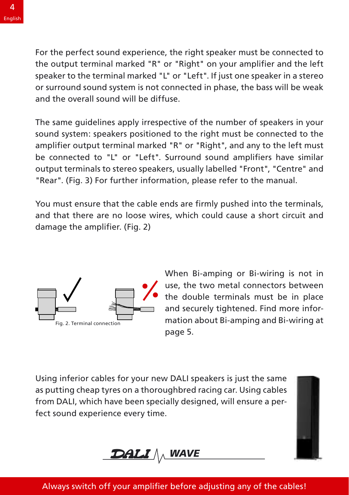For the perfect sound experience, the right speaker must be connected to the output terminal marked "R" or "Right" on your amplifier and the left speaker to the terminal marked "L" or "Left". If just one speaker in a stereo or surround sound system is not connected in phase, the bass will be weak and the overall sound will be diffuse

The same guidelines apply irrespective of the number of speakers in your amplifier output terminal marked "R" or "Right", and any to the left must be connected to "L" or "Left". Surround sound amplifiers have similar sound system: speakers positioned to the right must be connected to the "Rear". (Fig. 3) For further information, please refer to the manual. output terminals to stereo speakers, usually labelled "Front", "Centre" and

You must ensure that the cable ends are firmly pushed into the terminals. and that there are no loose wires, which could cause a short circuit and damage the amplifier. (Fig. 2)



When Bi-amping or Bi-wiring is not in use, the two metal connectors between the double terminals must be in place and securely tightened. Find more information about Bi-amping and Bi-wiring at  $\mathbf{F}$  is the same connection  $\mathbf{F}$ page 5. as putting cheap tyres on a thoroughbred racing car. Using cables

Using inferior cables for your new DALI speakers is just the same as putting cheap tyres on a thoroughbred racing car. Using cables from DALI, which have been specially designed, will ensure a perfect sound experience every time.



## Always switch off your amplifier before adjusting any of the cables!

 $A$  your amplifier before adjusting any of the cables  $\mathbb{R}^n$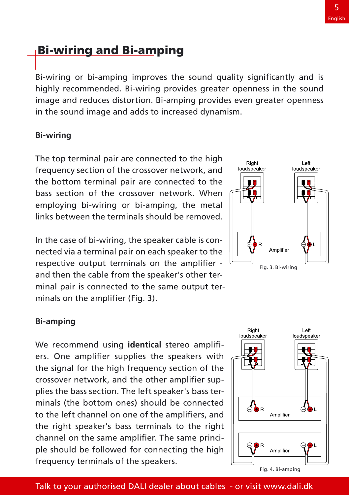# <u>Bi-wiring and Bi-am</u>ping provides even greater opening provides even greater opening provides even greater openi

highly recommended. Bi-wiring provides greater openness in the sound image and reduces distortion. Bi-amping provides even greater openness in the sound image and adds to increased dynamism. frequency section of the crossover network, and

 $B_{\rm eff}$  improves the sound quality significantly significantly and is sound  $\sim$ 

#### **Bi-wiring** bass section of the crossover network. When

The top terminal pair are connected to the high frequency section of the crossover network, and the bottom terminal pair are connected to the bass section of the crossover network. When employing bi-wiring or bi-amping, the metal links between the terminals should be removed.

In the case of bi-wiring, the speaker cable is connected via a terminal pair on each speaker to the respective output terminals on the amplifier -In the case of bi-wiring, the speaker cable is conmortod via a torminal pair on oa respective output terminals on the amplifier minal pair is connected to the same output terminals on the amplifier (Fig. 3) ers. One amplifier supplies the speakers with the speakers with the speakers with the speakers with the speakers with the speakers with the speakers with the speakers with the speakers with the speakers with the speakers w



#### $\mathsf B$ i-amping for the signal for the signal for the  $\mathsf B$ crossover network, and the other amplifier sup-

channel on the same amplifier. The same princi-We recommend using **identical** stereo amplifiers. One amplifier supplies the speakers with the signal for the high frequency section of the We recommend using **identical** stereo amplifiers. One amplifier supplies the speakers with the signal for the high frequency section of the crossover network, and the other amplifier supplies the best section. The left spe .<br>minals (the bottom ones) should be connected to the left channel on one of the amplifiers, and crossover network, and the other amplifier sup-<br>plies the bass section. The left speaker's bass ter-<br>minals (the bottom ones) should be connected<br>to the left channel on one of the amplifiers, and the right speaker's bass terminals to the right plies the bass section. The left speaker's bass terple should be followed for connecting the high frequency terminals of the speakers.

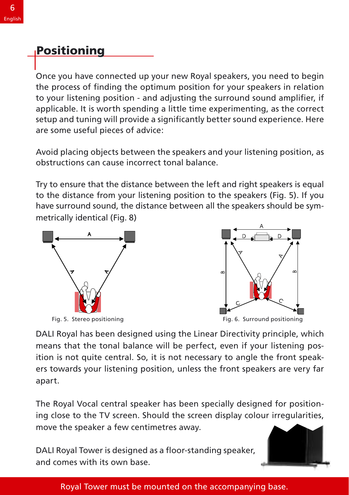#### to your listening position in and adjusting the surround sound sound amplifier, if  $P$  or  $\mathcal{P}$ applicable. It is worth spending a little time experimenting, as the correct spending, as the correct spending,

setup and tuning and tuning and the<br>Once you have connected up your new Royal speakers, you need to begin to your intermity position - and adjusting the surround sound amplifier, if applicable. It is worth speriumy a little time experimenting, as the correct Once you have connected up you  $\alpha$  some usefur pieces of advice.

 $t_{\rm eff}$  the distance from your listening position to the speakers (Fig. 5). If  $y_{\rm eff}$ Avoid placing objects between the speakers and your iistening position, as obstructions can cause incorrect tonal balance.

to the distance from your listening position to the speakers (Fig. 5). If you have surround sound, the distance between all the speakers should be symmetrically identical (Fig. 8)







Fig. 5. Stereo positioning ersemble and speakers the front speakers the front speakers the front speakers are v

DALI Royal has been designed using the Linear Directivity principle, which means that the tonal balance will be perfect, even if your listening position is not quite central. So, it is not necessary to angle the front speakers towards your listening position, unless the front speakers are very far move the speaker and speaker and the speaker and the speaker and the speaker and the speaker and the speaker a<br>The speaker and the speaker and the speaker and the speaker and the speaker and the speaker and the speaker and apart.

ing close to the TV screen. Should the screen display colour irregularities, move the speaker a few centimetres away. The Royal Vocal central speaker has been specially designed for position-

DALI Royal Tower is designed as a floor-standing speaker, and comes with its own base



## Royal Tower must be mounted on the accompanying base.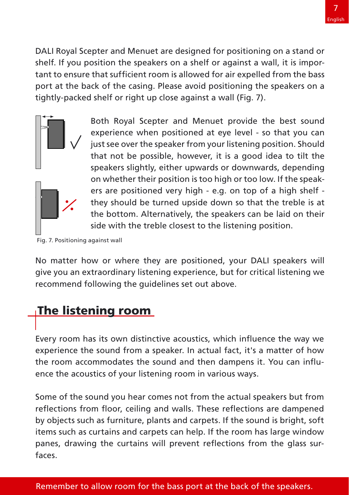DALI Royal Scepter and Menuet are designed for positioning on a stand or shelf. If you position the speakers on a shelf or against a wall, it is importhat sufficient room is allowed for air expelled from the bass ck of the casing. Please avoid positioning the speakers on a tightly-packed shelf or right up close against a wall (Fig. 7).



Both Royal Scepter and Menuet provide the best sound experience when positioned at eye level - so that you can just see over the speaker from your listening position. Should that not be possible, however, it is a good idea to tilt the ers are positioned very high - e.g. on top of a high shelf speakers slightly, either upwards or downwards, depending  $\left\| \cdot \right\|$   $\left\| \cdot \right\|$  the bottom. Alternatively, the speakers can be laid on their on whether their position is too high or too low. If the speak- $\sqrt{\frac{1}{\pi}}$  side with the treble closest to the listening position. they should be turned upside down so that the treble is at

recommend following the guidelines set out above.Fig. 7. Positioning against wall

No matter how or where they are positioned, your DALI speakers will give you an extraordinary listening experience, but for critical listening we recommentation own by the guidelines set out above.

# the listening room accommodates the sound and the sound and the sound and the sound and the

**The listening room**<br>Every room has its own distinctive acoustics, which influence the way we experience the sound from a speaker. In actual fact, it's a matter of how ence the acoustics of your listening room in various ways. the room accommodates the sound and then dampens it. You can influitems such as curtains and carpets can help. If the room has large window

ence the acoustics of your listening room in various ways.

Some of the sound you hear comes not from the actual speakers but from reflections from floor, ceiling and walls. These reflections are dampened by objects such as furniture, plants and carpets. If the sound is bright, soft Rems such as curtains and carpets can neip. If the room has large window faces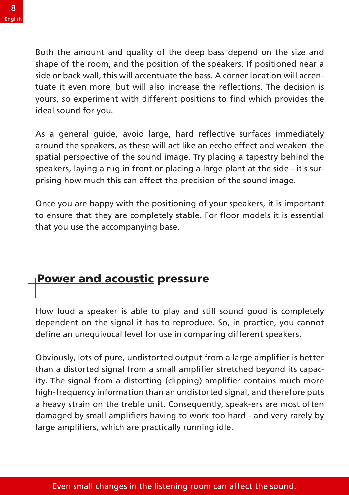Both the amount and quality of the deep bass depend on the size and shape of the room, and the position of the speakers. If positioned near a side or back wall, this will accentuate the bass. A corner location will accentuate it even more, but will also increase the reflections. The decision is yours, so experiment with different positions to find which provides the spatial perspective of the sound image. Try places of the sound image. The sound image of the sound the sound the sound the sound the sound the sound the sound the sound the sound the sound the sound the sound the sound th

spatial perspective of the sound image. Try placing a tapestry behind the As a general guide, avoid large, hard reflective surfaces immediately<br>around the speakers, as these will act like an eccho effect and weaken the<br>spatial perspective of the sound image. Try placing a tapestry behind the<br>spa As a general quide, avoid large, hard reflective surfaces immediately prising how much this can affect the precision of the sound image. speakers, laying a rug in front or placing a large plant at the side - it's sur-

Once you are happy with the positioning of your speakers, it is important to ensure that they are completely stable. For floor models it is essential that you use the accompanying base.

#### Power and acoustic pressure <u>defined and accusin</u>ctivity in comparing different speakers. The use in contract speakers in contract speakers.

How loud a speaker is able to play and still sound good is completely dependent on the signal it has to reproduce. So, in practice, you cannot inteed in the signal from a distortion and the signal distortional distortion of the signal distortion and distortional distortional distortional distortion and distortional distortional distortion of the signal distortion high-frequency information than an undistorted signal, and therefore puts

Obviously, lots of pure, undistorted output from a large amplifier is better than a distorted signal from a small amplifier stretched beyond its capacity. The signal from a distorting (clipping) amplifier contains much more high-frequency information than an undistorted signal, and therefore puts a heavy strain on the treble unit. Consequently, speak-ers are most often damaged by small amplifiers having to work too hard - and very rarely by large amplifiers, which are practically running idle.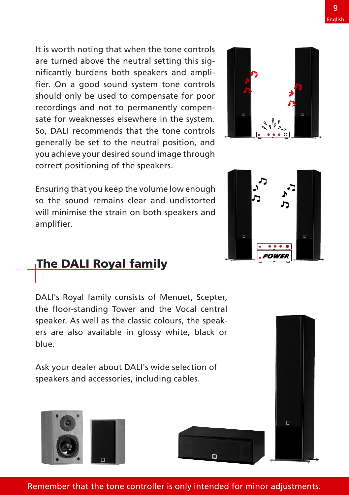It is worth noting that when the tone controls are turned above the neutral setting this significantly burdens both speakers and amplifier. On a good sound system tone controls should only be used to compensate for poor recordings and not to permanently compensate for weaknesses elsewhere in the system. So. DALI recommends that the tone controls generally be set to the neutral position, and -<br>you achieve your desired sound image through correct positioning of the speakers.

Ensuring that you keep the volume low enough so the sound remains clear and undistorted will minimise the strain on both speakers and amplifier.

## <u>The DALI Royal fam</u>ily The DALI Royal family<br>
DALI's Bayal family consists of Menuet, Scepter,  $\tau_{\text{ho}}$   $\sim$   $\mu$   $\tau_{\text{o}}$   $\sim$   $\mu$  $\frac{1}{100}$  speaker. As the colours, the colours, the speaker.

DALI's Royal family consists of Menuet, Scepter, the floor-standing Tower and the Vocal central speaker. As well as the classic colours, the speakers are also available in glossy white, black<br>blue.<br>Ask your dealer about DALI's wide selection of speakers and access in a speakers are also also and a cable of the cables.

ers are also available in glossy white, black or

Ask your dealer about DALI's wide selection of speakers and accessories, including cables.

Remember that the tone controller is only intended for minor adjustments.